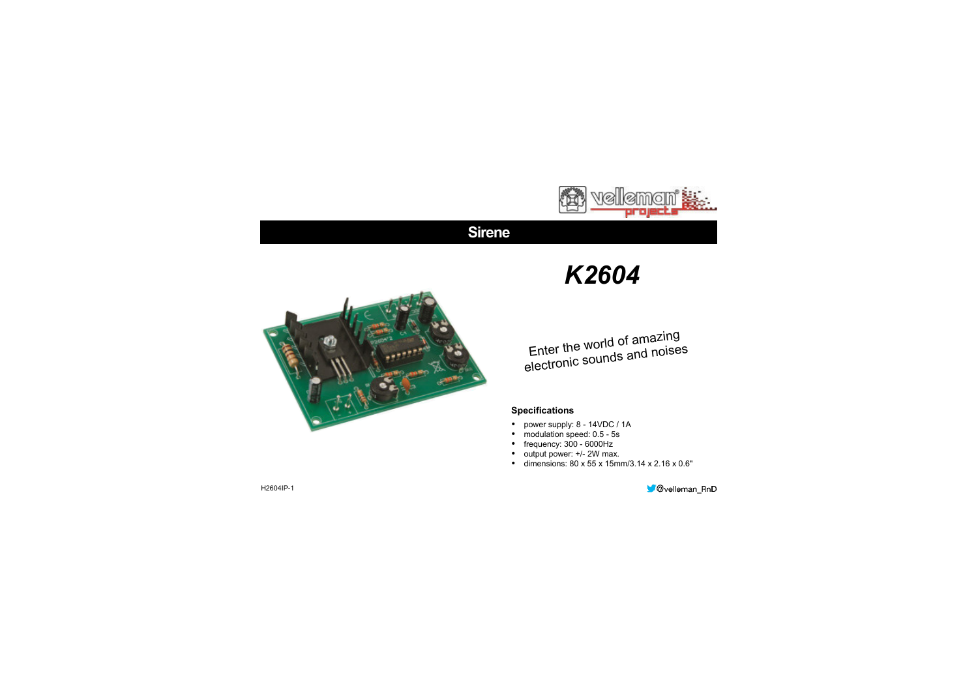

# **Sirene**



# *K2604*

# Enter the world of amazing electronic sounds an<sup>d</sup> noises

### **Specifications**

- power supply: 8 14VDC / 1A
- modulation speed: 0.5 5s
- frequency: 300 6000Hz
- output power: +/- 2W max.
- $\bullet$  dimensions: 80 x 55 x 15mm/3.14 x 2.16 x 0.6"

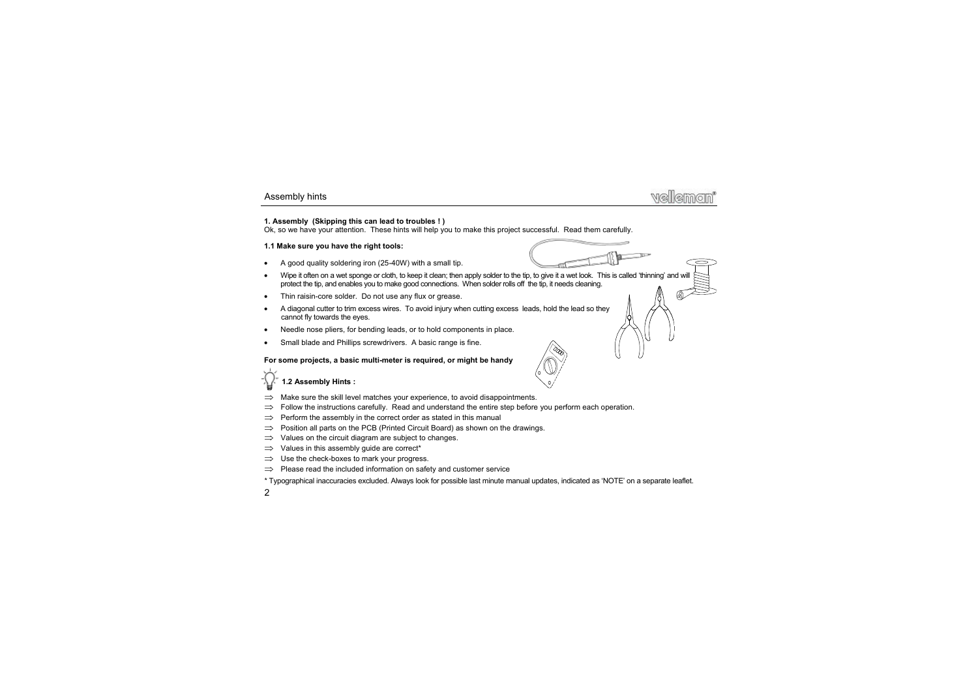### **1. Assembly (Skipping this can lead to troubles ! )**

Ok, so we have your attention. These hints will help you to make this project successful. Read them carefully.

### **1.1 Make sure you have the right tools:**

- A good quality soldering iron (25-40W) with a small tip.
- Wipe it often on a wet sponge or cloth, to keep it clean; then apply solder to the tip, to give it a wet look. This is called 'thinning' and will protect the tip, and enables you to make good connections. When solder rolls off the tip, it needs cleaning.
- Thin raisin-core solder. Do not use any flux or grease.
- A diagonal cutter to trim excess wires. To avoid injury when cutting excess leads, hold the lead so they cannot fly towards the eyes.
- Needle nose pliers, for bending leads, or to hold components in place.
- Small blade and Phillips screwdrivers. A basic range is fine.

### **For some projects, a basic multi-meter is required, or might be handy**

### **1.2 Assembly Hints :**

- Make sure the skill level matches your experience, to avoid disappointments.
- Follow the instructions carefully. Read and understand the entire step before you perform each operation.
- Perform the assembly in the correct order as stated in this manual
- Position all parts on the PCB (Printed Circuit Board) as shown on the drawings.
- Values on the circuit diagram are subject to changes.
- $\implies$  Values in this assembly quide are correct<sup>\*</sup>
- $\implies$  Use the check-boxes to mark your progress.
- Please read the included information on safety and customer service

\* Typographical inaccuracies excluded. Always look for possible last minute manual updates, indicated as 'NOTE' on a separate leaflet.



0.000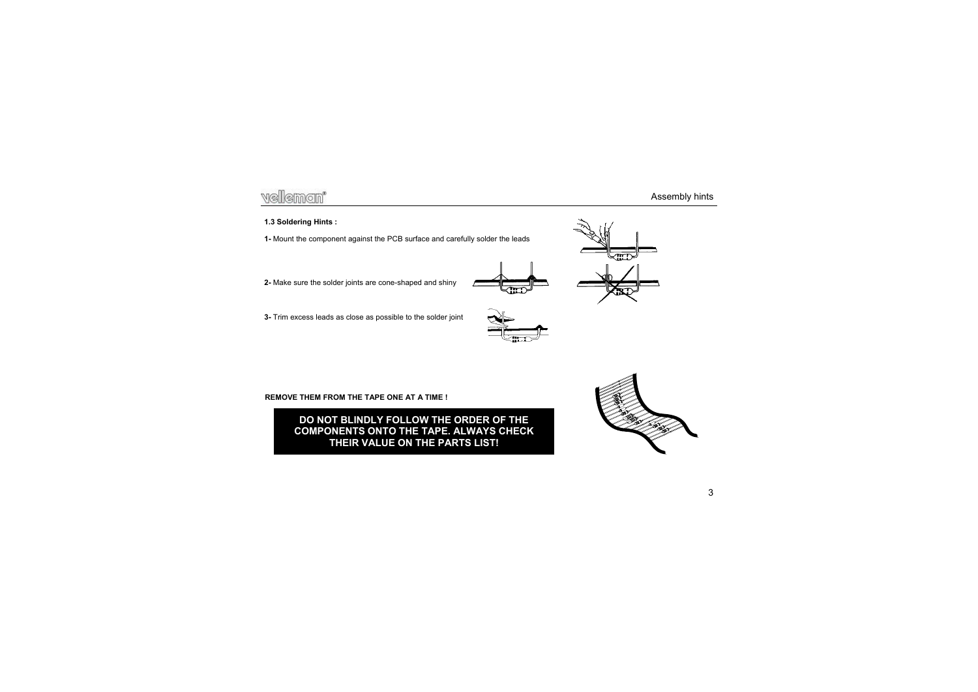- **2-** Make sure the solder joints are cone-shaped and shiny
- **3-** Trim excess leads as close as possible to the solder joint

**REMOVE THEM FROM THE TAPE ONE AT A TIME !** 

**DO NOT BLINDLY FOLLOW THE ORDER OF THE COMPONENTS ONTO THE TAPE. ALWAYS CHECK THEIR VALUE ON THE PARTS LIST!** 





**1.3 Soldering Hints :** 





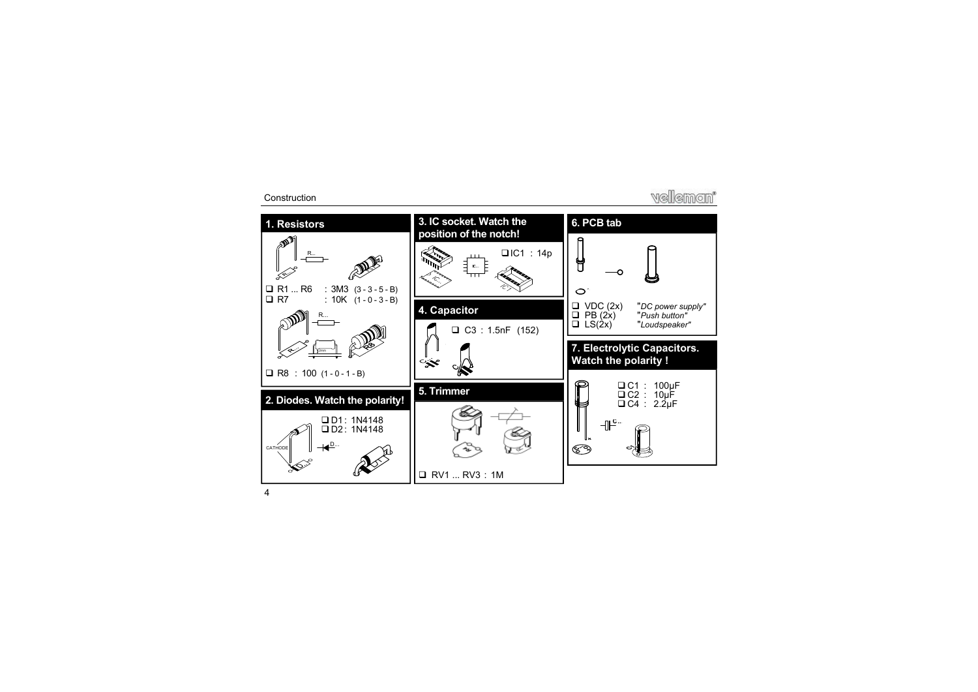### **Construction**

**Wellemon** 

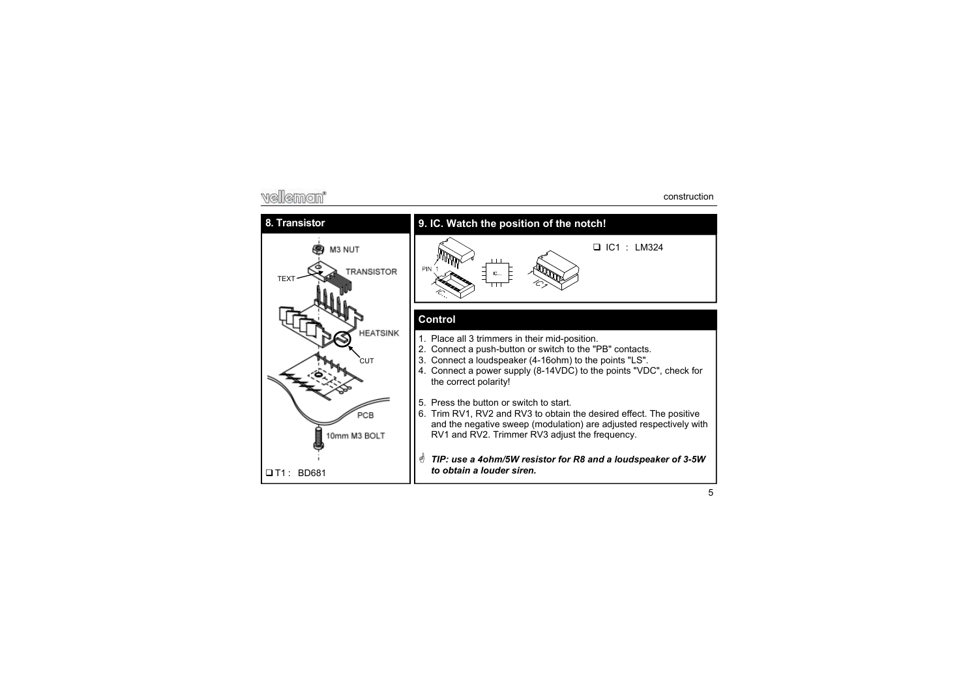# vellemon'

### **8. Transistor**



## **9. IC. Watch the position of the notch!**



### **Control**

- 1. Place all 3 trimmers in their mid-position.
- 2. Connect a push-button or switch to the "PB" contacts.
- 3. Connect a loudspeaker (4-16ohm) to the points "LS".
- 4. Connect a power supply (8-14VDC) to the points "VDC", check for the correct polarity!
- 5. Press the button or switch to start.
- 6. Trim RV1, RV2 and RV3 to obtain the desired effect. The positive and the negative sweep (modulation) are adjusted respectively with RV1 and RV2. Trimmer RV3 adjust the frequency.
- *TIP: use a 4ohm/5W resistor for R8 and a loudspeaker of 3-5W to obtain a louder siren.*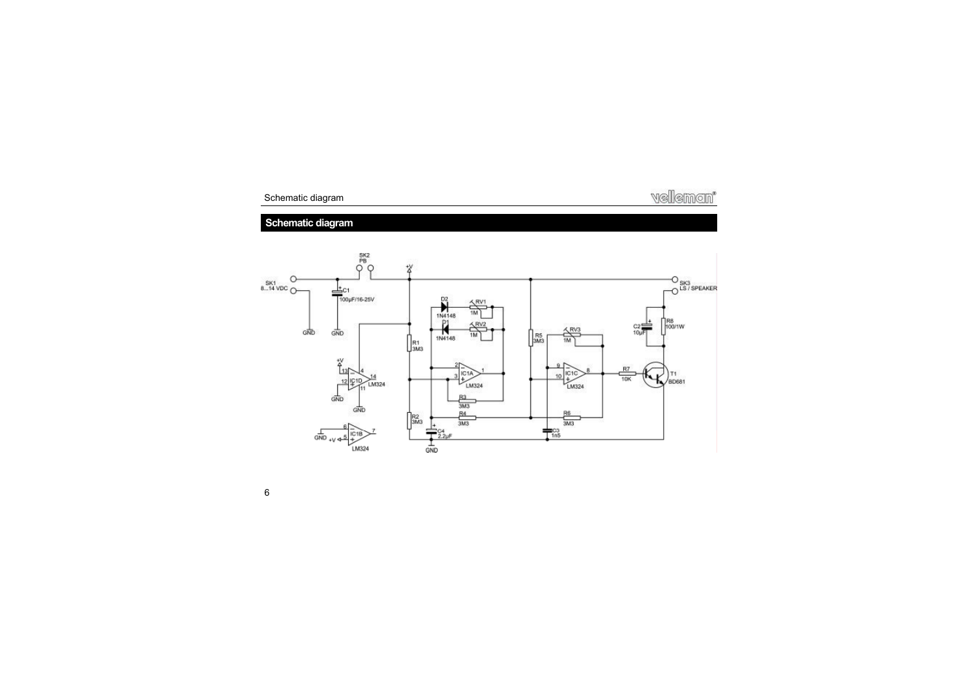

# **Schematic diagram**



6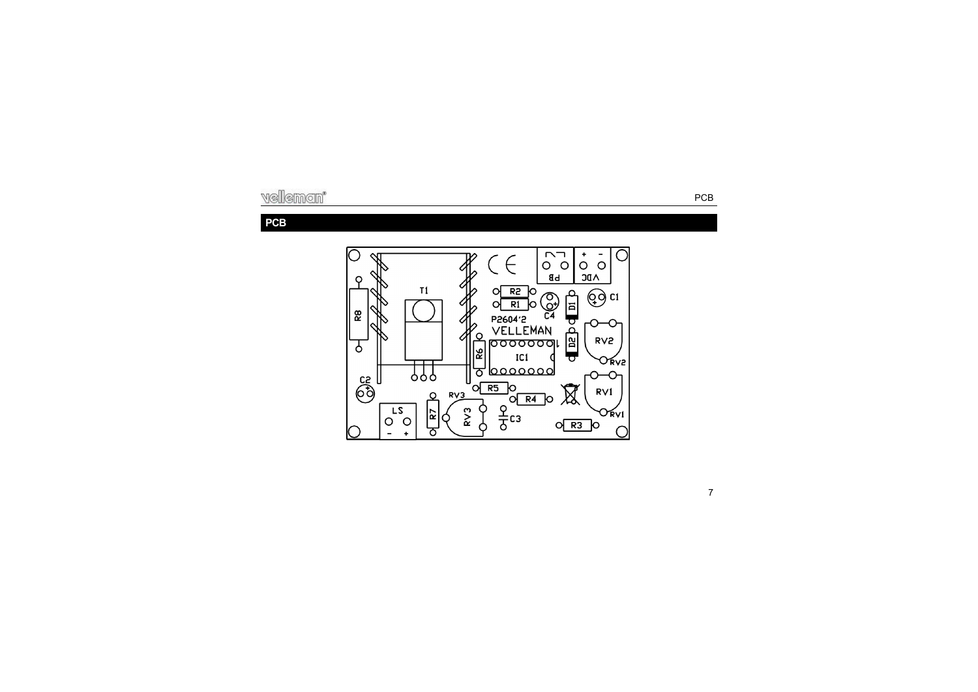# **PCB**